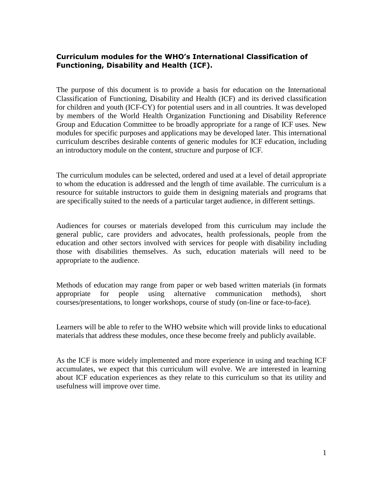#### **Curriculum modules for the WHO's International Classification of Functioning, Disability and Health (ICF).**

The purpose of this document is to provide a basis for education on the International Classification of Functioning, Disability and Health (ICF) and its derived classification for children and youth (ICF-CY) for potential users and in all countries. It was developed by members of the World Health Organization Functioning and Disability Reference Group and Education Committee to be broadly appropriate for a range of ICF uses. New modules for specific purposes and applications may be developed later. This international curriculum describes desirable contents of generic modules for ICF education, including an introductory module on the content, structure and purpose of ICF.

The curriculum modules can be selected, ordered and used at a level of detail appropriate to whom the education is addressed and the length of time available. The curriculum is a resource for suitable instructors to guide them in designing materials and programs that are specifically suited to the needs of a particular target audience, in different settings.

Audiences for courses or materials developed from this curriculum may include the general public, care providers and advocates, health professionals, people from the education and other sectors involved with services for people with disability including those with disabilities themselves. As such, education materials will need to be appropriate to the audience.

Methods of education may range from paper or web based written materials (in formats appropriate for people using alternative communication methods), short courses/presentations, to longer workshops, course of study (on-line or face-to-face).

Learners will be able to refer to the WHO website which will provide links to educational materials that address these modules, once these become freely and publicly available.

As the ICF is more widely implemented and more experience in using and teaching ICF accumulates, we expect that this curriculum will evolve. We are interested in learning about ICF education experiences as they relate to this curriculum so that its utility and usefulness will improve over time.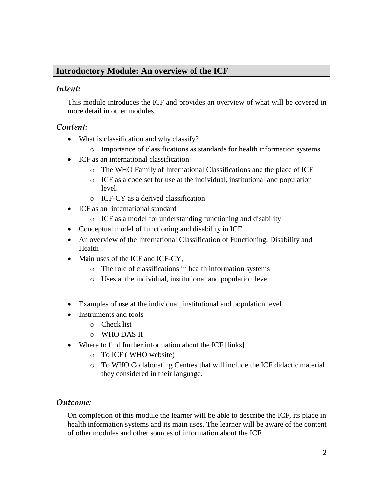### **Introductory Module: An overview of the ICF**

#### *Intent:*

This module introduces the ICF and provides an overview of what will be covered in more detail in other modules.

#### *Content:*

- What is classification and why classify?
	- o Importance of classifications as standards for health information systems
- ICF as an international classification
	- o The WHO Family of International Classifications and the place of ICF
	- o ICF as a code set for use at the individual, institutional and population level.
	- o ICF-CY as a derived classification
- ICF as an international standard
	- o ICF as a model for understanding functioning and disability
- Conceptual model of functioning and disability in ICF
- An overview of the International Classification of Functioning, Disability and Health
- Main uses of the ICF and ICF-CY.
	- o The role of classifications in health information systems
	- o Uses at the individual, institutional and population level
- Examples of use at the individual, institutional and population level
- Instruments and tools
	- o Check list
	- o WHO DAS II
- Where to find further information about the ICF [links]
	- o To ICF ( WHO website)
	- o To WHO Collaborating Centres that will include the ICF didactic material they considered in their language.

#### *Outcome:*

On completion of this module the learner will be able to describe the ICF, its place in health information systems and its main uses. The learner will be aware of the content of other modules and other sources of information about the ICF.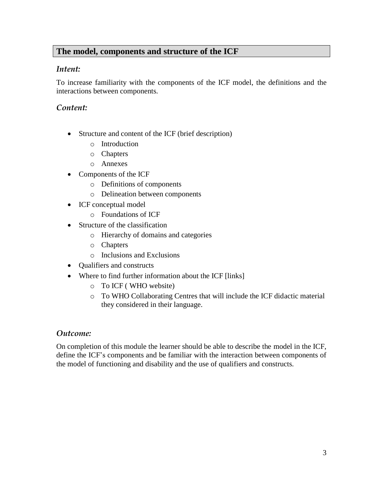# **The model, components and structure of the ICF**

#### *Intent:*

To increase familiarity with the components of the ICF model, the definitions and the interactions between components.

### *Content:*

- Structure and content of the ICF (brief description)
	- o Introduction
	- o Chapters
	- o Annexes
- Components of the ICF
	- o Definitions of components
	- o Delineation between components
- ICF conceptual model
	- o Foundations of ICF
- Structure of the classification
	- o Hierarchy of domains and categories
	- o Chapters
	- o Inclusions and Exclusions
- Qualifiers and constructs
- Where to find further information about the ICF [links]
	- o To ICF ( WHO website)
	- o To WHO Collaborating Centres that will include the ICF didactic material they considered in their language.

#### *Outcome:*

On completion of this module the learner should be able to describe the model in the ICF, define the ICF's components and be familiar with the interaction between components of the model of functioning and disability and the use of qualifiers and constructs.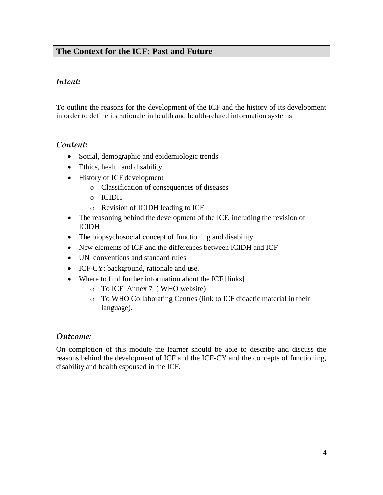## **The Context for the ICF: Past and Future**

#### *Intent:*

To outline the reasons for the development of the ICF and the history of its development in order to define its rationale in health and health-related information systems

### *Content:*

- Social, demographic and epidemiologic trends
- Ethics, health and disability
- History of ICF development
	- o Classification of consequences of diseases
	- o ICIDH
	- o Revision of ICIDH leading to ICF
- The reasoning behind the development of the ICF, including the revision of ICIDH
- The biopsychosocial concept of functioning and disability
- New elements of ICF and the differences between ICIDH and ICF
- UN conventions and standard rules
- ICF-CY: background, rationale and use.
- Where to find further information about the ICF [links]
	- o To ICF Annex 7 ( WHO website)
	- o To WHO Collaborating Centres (link to ICF didactic material in their language).

#### *Outcome:*

On completion of this module the learner should be able to describe and discuss the reasons behind the development of ICF and the ICF-CY and the concepts of functioning, disability and health espoused in the ICF.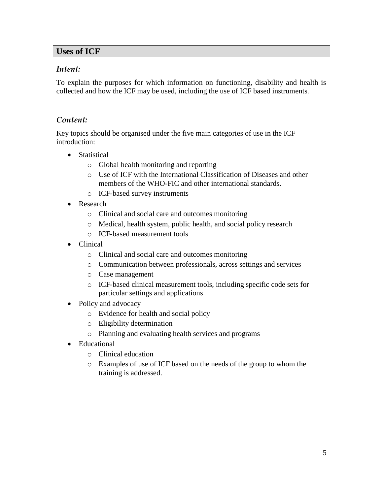#### **Uses of ICF**

#### *Intent:*

To explain the purposes for which information on functioning, disability and health is collected and how the ICF may be used, including the use of ICF based instruments.

### *Content:*

Key topics should be organised under the five main categories of use in the ICF introduction:

- Statistical
	- o Global health monitoring and reporting
	- o Use of ICF with the International Classification of Diseases and other members of the WHO-FIC and other international standards.
	- o ICF-based survey instruments
- Research
	- o Clinical and social care and outcomes monitoring
	- o Medical, health system, public health, and social policy research
	- o ICF-based measurement tools
- Clinical
	- o Clinical and social care and outcomes monitoring
	- o Communication between professionals, across settings and services
	- o Case management
	- o ICF-based clinical measurement tools, including specific code sets for particular settings and applications
- Policy and advocacy
	- o Evidence for health and social policy
	- o Eligibility determination
	- o Planning and evaluating health services and programs
- Educational
	- o Clinical education
	- o Examples of use of ICF based on the needs of the group to whom the training is addressed.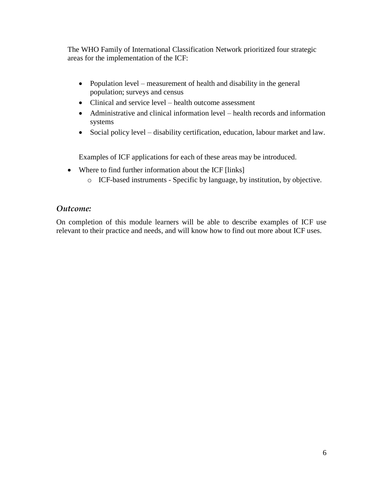The WHO Family of International Classification Network prioritized four strategic areas for the implementation of the ICF:

- Population level measurement of health and disability in the general population; surveys and census
- Clinical and service level health outcome assessment
- Administrative and clinical information level health records and information systems
- Social policy level disability certification, education, labour market and law.

Examples of ICF applications for each of these areas may be introduced.

- Where to find further information about the ICF [links]
	- o ICF-based instruments Specific by language, by institution, by objective.

### *Outcome:*

On completion of this module learners will be able to describe examples of ICF use relevant to their practice and needs, and will know how to find out more about ICF uses.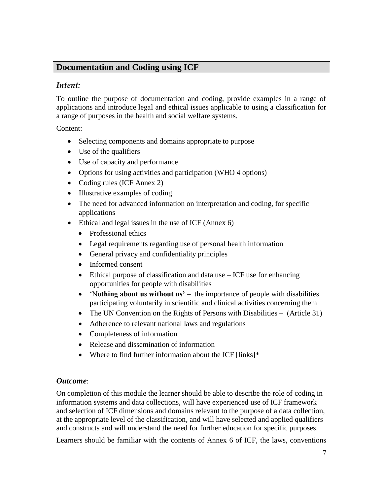### **Documentation and Coding using ICF**

#### *Intent:*

To outline the purpose of documentation and coding, provide examples in a range of applications and introduce legal and ethical issues applicable to using a classification for a range of purposes in the health and social welfare systems.

Content:

- Selecting components and domains appropriate to purpose
- Use of the qualifiers
- Use of capacity and performance
- Options for using activities and participation (WHO 4 options)
- Coding rules (ICF Annex 2)
- Illustrative examples of coding
- The need for advanced information on interpretation and coding, for specific applications
- Ethical and legal issues in the use of ICF (Annex 6)
	- Professional ethics
	- Legal requirements regarding use of personal health information
	- General privacy and confidentiality principles
	- Informed consent
	- Ethical purpose of classification and data use ICF use for enhancing opportunities for people with disabilities
	- 'N**othing about us without us'** the importance of people with disabilities participating voluntarily in scientific and clinical activities concerning them
	- The UN Convention on the Rights of Persons with Disabilities (Article 31)
	- Adherence to relevant national laws and regulations
	- Completeness of information
	- Release and dissemination of information
	- Where to find further information about the ICF [links]\*

### *Outcome*:

On completion of this module the learner should be able to describe the role of coding in information systems and data collections, will have experienced use of ICF framework and selection of ICF dimensions and domains relevant to the purpose of a data collection, at the appropriate level of the classification, and will have selected and applied qualifiers and constructs and will understand the need for further education for specific purposes.

Learners should be familiar with the contents of Annex 6 of ICF, the laws, conventions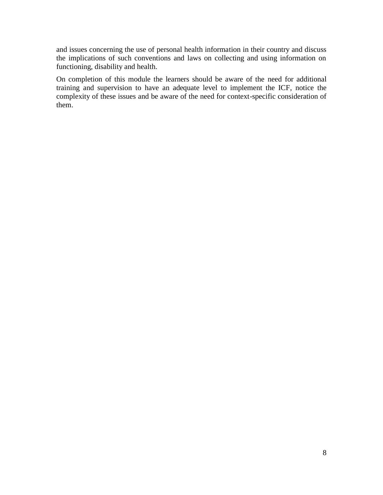and issues concerning the use of personal health information in their country and discuss the implications of such conventions and laws on collecting and using information on functioning, disability and health.

On completion of this module the learners should be aware of the need for additional training and supervision to have an adequate level to implement the ICF, notice the complexity of these issues and be aware of the need for context-specific consideration of them.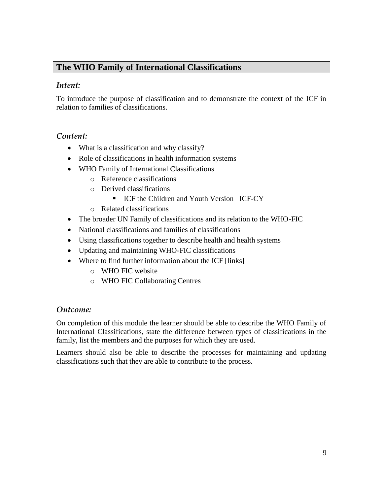# **The WHO Family of International Classifications**

#### *Intent:*

To introduce the purpose of classification and to demonstrate the context of the ICF in relation to families of classifications.

### *Content:*

- What is a classification and why classify?
- Role of classifications in health information systems
- WHO Family of International Classifications
	- o Reference classifications
	- o Derived classifications
		- ICF the Children and Youth Version –ICF-CY
	- o Related classifications
- The broader UN Family of classifications and its relation to the WHO-FIC
- National classifications and families of classifications
- Using classifications together to describe health and health systems
- Updating and maintaining WHO-FIC classifications
- Where to find further information about the ICF [links]
	- o WHO FIC website
	- o WHO FIC Collaborating Centres

### *Outcome:*

On completion of this module the learner should be able to describe the WHO Family of International Classifications, state the difference between types of classifications in the family, list the members and the purposes for which they are used.

Learners should also be able to describe the processes for maintaining and updating classifications such that they are able to contribute to the process.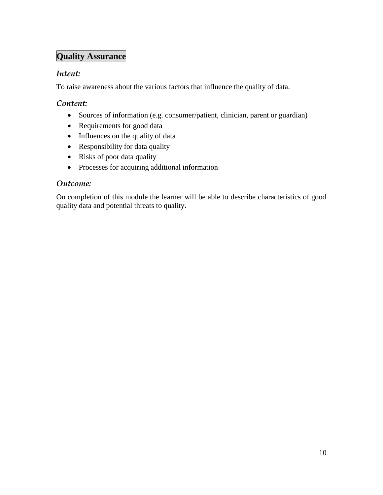# **Quality Assurance**

### *Intent:*

To raise awareness about the various factors that influence the quality of data.

### *Content:*

- Sources of information (e.g. consumer/patient, clinician, parent or guardian)
- Requirements for good data
- Influences on the quality of data
- Responsibility for data quality
- Risks of poor data quality
- Processes for acquiring additional information

### *Outcome:*

On completion of this module the learner will be able to describe characteristics of good quality data and potential threats to quality.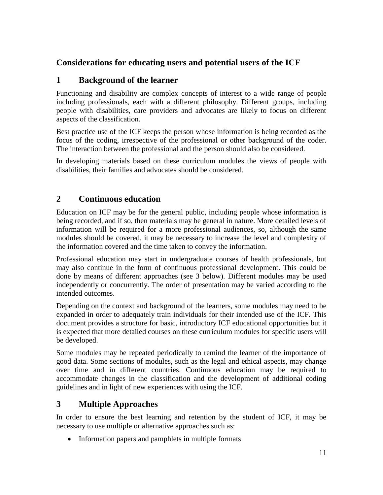# **Considerations for educating users and potential users of the ICF**

# **1 Background of the learner**

Functioning and disability are complex concepts of interest to a wide range of people including professionals, each with a different philosophy. Different groups, including people with disabilities, care providers and advocates are likely to focus on different aspects of the classification.

Best practice use of the ICF keeps the person whose information is being recorded as the focus of the coding, irrespective of the professional or other background of the coder. The interaction between the professional and the person should also be considered.

In developing materials based on these curriculum modules the views of people with disabilities, their families and advocates should be considered.

# **2 Continuous education**

Education on ICF may be for the general public, including people whose information is being recorded, and if so, then materials may be general in nature. More detailed levels of information will be required for a more professional audiences, so, although the same modules should be covered, it may be necessary to increase the level and complexity of the information covered and the time taken to convey the information.

Professional education may start in undergraduate courses of health professionals, but may also continue in the form of continuous professional development. This could be done by means of different approaches (see 3 below). Different modules may be used independently or concurrently. The order of presentation may be varied according to the intended outcomes.

Depending on the context and background of the learners, some modules may need to be expanded in order to adequately train individuals for their intended use of the ICF. This document provides a structure for basic, introductory ICF educational opportunities but it is expected that more detailed courses on these curriculum modules for specific users will be developed.

Some modules may be repeated periodically to remind the learner of the importance of good data. Some sections of modules, such as the legal and ethical aspects, may change over time and in different countries. Continuous education may be required to accommodate changes in the classification and the development of additional coding guidelines and in light of new experiences with using the ICF.

# **3 Multiple Approaches**

In order to ensure the best learning and retention by the student of ICF, it may be necessary to use multiple or alternative approaches such as:

• Information papers and pamphlets in multiple formats